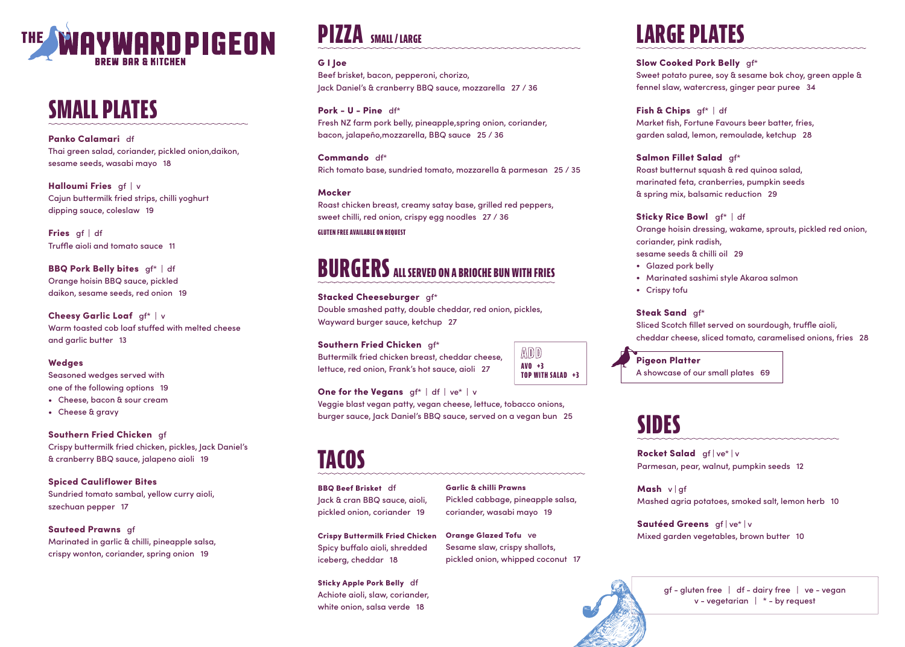

## **SMALL PLATES**

Panko Calamari df Thai green salad, coriander, pickled onion,daikon, sesame seeds, wasabi mayo 18

Halloumi Fries gf | v Cajun buttermilk fried strips, chilli yoghurt dipping sauce, coleslaw 19

Fries gf | df Truffle aioli and tomato sauce 11

Cheesy Garlic Loaf gf\* | v Warm toasted cob loaf stuffed with melted cheese and garlic butter 13

BBQ Pork Belly bites gf\* | df Orange hoisin BBQ sauce, pickled daikon, sesame seeds, red onion 19

### Wedges

```
Rocket Salad gf | ve* | v
Parmesan, pear, walnut, pumpkin seeds 12
Mashed agria potatoes, smoked salt, lemon herb 10
```
gf - gluten free | df - dairy free | ve - vegan  $v$  - vegetarian  $\vert *$  - by request

Seasoned wedges served with one of the following options 19

> Sautéed Greens gf | ve\* | v Mixed garden vegetables, brown butter 10



- Cheese, bacon & sour cream
- Cheese & gravy

### Southern Fried Chicken gf

Crispy buttermilk fried chicken, pickles, Jack Daniel's & cranberry BBQ sauce, jalapeno aioli 19

Salmon Fillet Salad gf\* Roast butternut squash & red quinoa salad, marinated feta, cranberries, pumpkin seeds & spring mix, balsamic reduction 29

Spiced Cauliflower Bites Sundried tomato sambal, yellow curry aioli, szechuan pepper 17

Sauteed Prawns gf

Sticky Rice Bowl gf\* | df Orange hoisin dressing, wakame, sprouts, pickled red onion, sesame seeds & chilli oil 29 • Glazed pork belly • Marinated sashimi style Akaroa salmon

Marinated in garlic & chilli, pineapple salsa, crispy wonton, coriander, spring onion 19

Steak Sand gf\* Sliced Scotch fillet served on sourdough, truffle aioli,

## **SIDES**

Mash v | gf

**Pigeon Platter** A showcase of our small plates 69

## **LARGE PLATES**

Slow Cooked Pork Belly gf\* Sweet potato puree, soy & sesame bok choy, green apple & fennel slaw, watercress, ginger pear puree 34

Fish & Chips gf\* | df

Market fish, Fortune Favours beer batter, fries, garden salad, lemon, remoulade, ketchup 28

coriander, pink radish,

- 
- 
- Crispy tofu

cheddar cheese, sliced tomato, caramelised onions, fries 28

## **BURGERS ALL SERVED ON A BRIOCHE BUN WITH FRIES**

Stacked Cheeseburger gf\* Double smashed patty, double cheddar, red onion, pickles, Wayward burger sauce, ketchup 27

### Southern Fried Chicken gf\*

Buttermilk fried chicken breast, cheddar cheese, lettuce, red onion, Frank's hot sauce, aioli 27

### **One for the Vegans**  $gf^*$  | df | ve<sup>\*</sup> | v

Veggie blast vegan patty, vegan cheese, lettuce, tobacco onions, burger sauce, Jack Daniel's BBQ sauce, served on a vegan bun 25

**ADD AVO +3**

**TOP WITH SALAD +3**

## **TACOS**

BBQ Beef Brisket df Jack & cran BBQ sauce, aioli, pickled onion, coriander 19

Crispy Buttermilk Fried Chicken Spicy buffalo aioli, shredded iceberg, cheddar 18

Sticky Apple Pork Belly df Achiote aioli, slaw, coriander, white onion, salsa verde 18

Garlic & chilli Prawns Pickled cabbage, pineapple salsa, coriander, wasabi mayo 19

Orange Glazed Tofu ve Sesame slaw, crispy shallots, pickled onion, whipped coconut 17

## G I Joe

Beef brisket, bacon, pepperoni, chorizo, Jack Daniel's & cranberry BBQ sauce, mozzarella 27 / 36

## Pork - U - Pine df\*

Fresh NZ farm pork belly, pineapple,spring onion, coriander, bacon, jalapeño,mozzarella, BBQ sauce 25 / 36

Commando df\* Rich tomato base, sundried tomato, mozzarella & parmesan 25 / 35

### Mocker

Roast chicken breast, creamy satay base, grilled red peppers, sweet chilli, red onion, crispy egg noodles 27 / 36

## **PIZZA SMALL / LARGE**

### **GLUTEN FREE AVAILABLE ON REQUEST**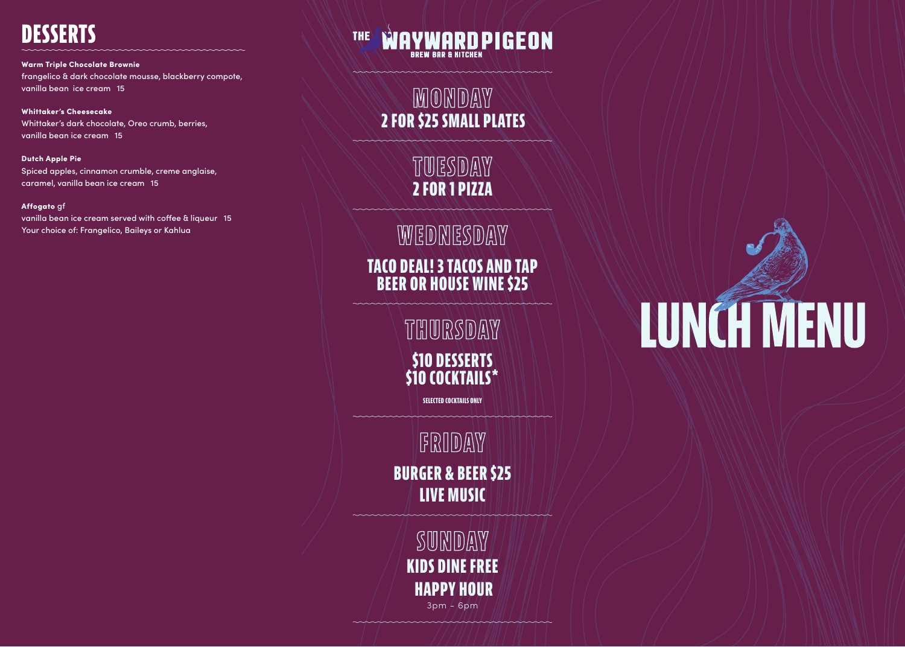**SUNDAY KIDS DINE FREE HAPPY HOUR**

 $3pm / 6pm$ 

# **NJNŐT MENU**

**TUESDAY 2 FOR 1 PIZZA**

**MONDAY 2 FOR \$25 SMALL PLATES**

**WEDNESDAY**

**FRIDAY BURGER & BEER \$25 LIVE MUSIC**

**TACO DEAL! 3 TACOS AND TAP BEER OR HOUSE WINE \$25**

> **\$10 DESSERTS \$10 COCKTAILS\* THURSDAY**

> > **SELECTED COCKTAILS ONLY**

### Warm Triple Chocolate Brownie frangelico & dark chocolate mousse, blackberry compote, vanilla bean ice cream 15

Whittaker's Cheesecake Whittaker's dark chocolate, Oreo crumb, berries, vanilla bean ice cream 15

Dutch Apple Pie Spiced apples, cinnamon crumble, creme anglaise, caramel, vanilla bean ice cream 15

### Affogato gf

vanilla bean ice cream served with coffee & liqueur 15 Your choice of: Frangelico, Baileys or Kahlua

### AYWARD PIGEON **THE BREW BAR & KITCHEN**

## **DESSERTS**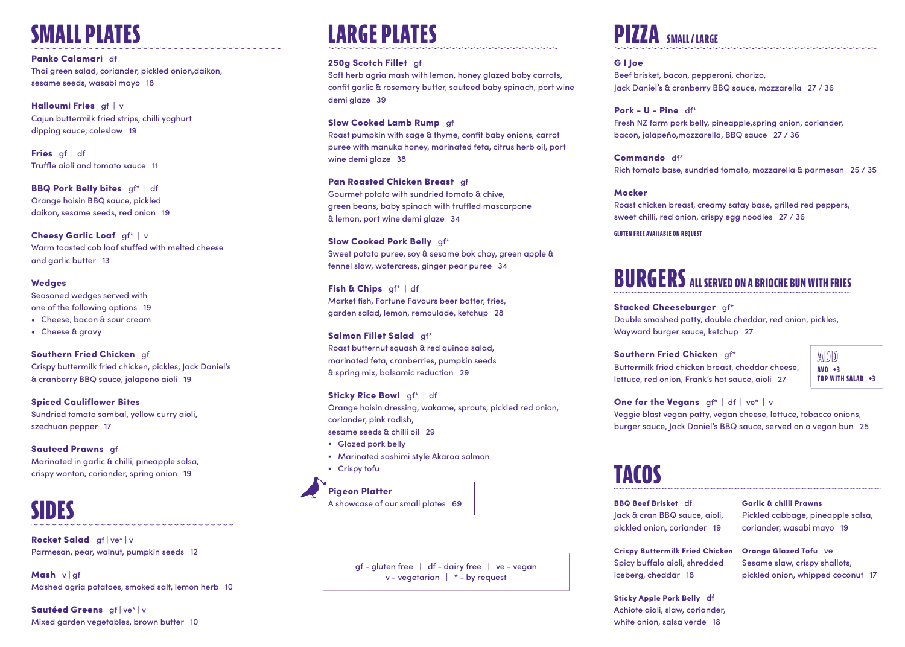## **SMALL PLATES**

Panko Calamari df Thai green salad, coriander, pickled onion,daikon, sesame seeds, wasabi mayo 18

Halloumi Fries gf | v Cajun buttermilk fried strips, chilli yoghurt dipping sauce, coleslaw 19

Fries af df Truffle aioli and tomato sauce 11

Cheesy Garlic Loaf gf\* | v Warm toasted cob loaf stuffed with melted cheese and garlic butter 13

BBQ Pork Belly bites gf\* | df Orange hoisin BBQ sauce, pickled daikon, sesame seeds, red onion 19

### Wedges

Seasoned wedges served with one of the following options 19 • Cheese, bacon & sour cream

• Cheese & gravy

Southern Fried Chicken gf Crispy buttermilk fried chicken, pickles, Jack Daniel's & cranberry BBQ sauce, jalapeno aioli 19

Spiced Cauliflower Bites Sundried tomato sambal, yellow curry aioli, szechuan pepper 17

Sauteed Prawns gf Marinated in garlic & chilli, pineapple salsa, crispy wonton, coriander, spring onion 19

## **LARGE PLATES**

### 250g Scotch Fillet gf

Sticky Rice Bowl gf\* | df Orange hoisin dressing, wakame, sprouts, pickled red onion, coriander, pink radish, sesame seeds & chilli oil 29

Soft herb agria mash with lemon, honey glazed baby carrots, confit garlic & rosemary butter, sauteed baby spinach, port wine demi glaze 39

## Slow Cooked Lamb Rump gf

Roast pumpkin with sage & thyme, confit baby onions, carrot puree with manuka honey, marinated feta, citrus herb oil, port wine demi glaze 38

Pan Roasted Chicken Breast gf Gourmet potato with sundried tomato & chive, green beans, baby spinach with truffled mascarpone & lemon, port wine demi glaze 34

Slow Cooked Pork Belly gf\* Sweet potato puree, soy & sesame bok choy, green apple & fennel slaw, watercress, ginger pear puree 34

> **One for the Vegans**  $gf^*$  | df | ve<sup>\*</sup> | v Veggie blast vegan patty, vegan cheese, lettuce, tobacco onions, burger sauce, Jack Daniel's BBQ sauce, served on a vegan bun 25

BBQ Beef Brisket df Jack & cran BBQ saue pickled onion, corian

**Crispy Buttermilk Fri** Spicy buffalo aioli, sh iceberg, cheddar 18

Fish & Chips gf\* | df Market fish, Fortune Favours beer batter, fries, garden salad, lemon, remoulade, ketchup 28

> **Sticky Apple Pork Belly** Achiote aioli, slaw, coriander, white onion, salsa verde 18

Salmon Fillet Salad gf\* Roast butternut squash & red quinoa salad, marinated feta, cranberries, pumpkin seeds & spring mix, balsamic reduction 29

Rocket Salad gf | ve\* | v Parmesan, pear, walnut, pumpkin seeds 12

Mash v | gf Mashed agria potatoes, smoked salt, lemon herb 10

Sautéed Greens gf | ve\* | v Mixed garden vegetables, brown butter 10

- Glazed pork belly
- Marinated sashimi style Akaroa salmon
- Crispy tofu

Pigeon Platter A showcase of our small plates 69 G I Joe

Beef brisket, bacon, pepperoni, chorizo, Jack Daniel's & cranberry BBQ sauce, mozzarella 27 / 36 Pork - U - Pine df\* Fresh NZ farm pork belly, pineapple,spring onion, coriander, bacon, jalapeño,mozzarella, BBQ sauce 27 / 36

Commando df\*

Rich tomato base, sundried tomato, mozzarella & parmesan 25 / 35

Mocker

Roast chicken breast, creamy satay base, grilled red peppers, sweet chilli, red onion, crispy egg noodles 27 / 36

## **PIZZA SMALL / LARGE**

## **BURGERS ALL SERVED ON A BRIOCHE BUN WITH FRIES**

Stacked Cheeseburger gf\*

Double smashed patty, double cheddar, red onion, pickles, Wayward burger sauce, ketchup 27

Southern Fried Chicken gf\* Buttermilk fried chicken breast, cheddar cheese, lettuce, red onion, Frank's hot sauce, aioli 27





|            | Garlic & chilli Prawns            |
|------------|-----------------------------------|
| ce, aioli, | Pickled cabbage, pineapple salsa, |
| ıder 19    | coriander, wasabi mayo 19         |
|            |                                   |
|            |                                   |
| ed Chicken | <b>Orange Glazed Tofu ve</b>      |
| hredded    | Sesame slaw, crispy shallots,     |
|            | pickled onion, whipped coconut 17 |
|            |                                   |

gf - gluten free | df - dairy free | ve - vegan v - vegetarian | \* - by request

## **SIDES**

**GLUTEN FREE AVAILABLE ON REQUEST**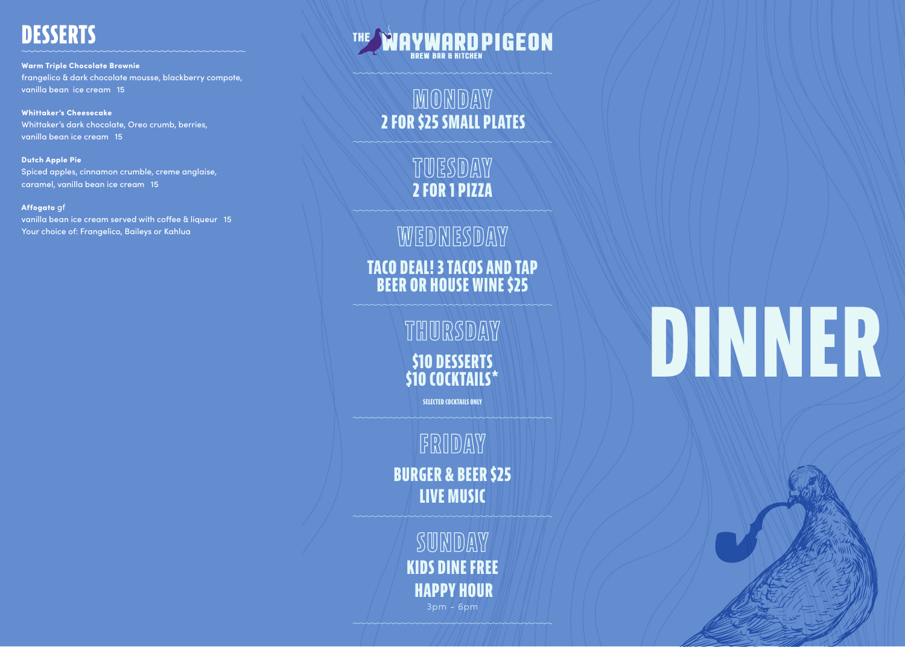**SUNDAY KIDS DINE FREE HAPPY HOUR** 3pm - 6pm

**TUESDAY 2 FOR 1 PIZZA**

**MONDAY 2 FOR \$25 SMALL PLATES**

**WEDNESDAY**

**FRIDAY BURGER & BEER \$25 LIVE MUSIC**

**TACO DEAL! 3 TACOS AND TAP BEER OR HOUSE WINE \$25**

> **\$10 DESSERTS \$10 COCKTAILS\* THURSDAY**

> > **SELECTED COCKTAILS ONLY**

Warm Triple Chocolate Brownie frangelico & dark chocolate mousse, blackberry compote, vanilla bean ice cream 15

Whittaker's Cheesecake Whittaker's dark chocolate, Oreo crumb, berries, vanilla bean ice cream 15

Dutch Apple Pie Spiced apples, cinnamon crumble, creme anglaise, caramel, vanilla bean ice cream 15

### Affogato gf

vanilla bean ice cream served with coffee & liqueur 15 Your choice of: Frangelico, Baileys or Kahlua

## **IAYWARDPIGEON**

## **DESSERTS**

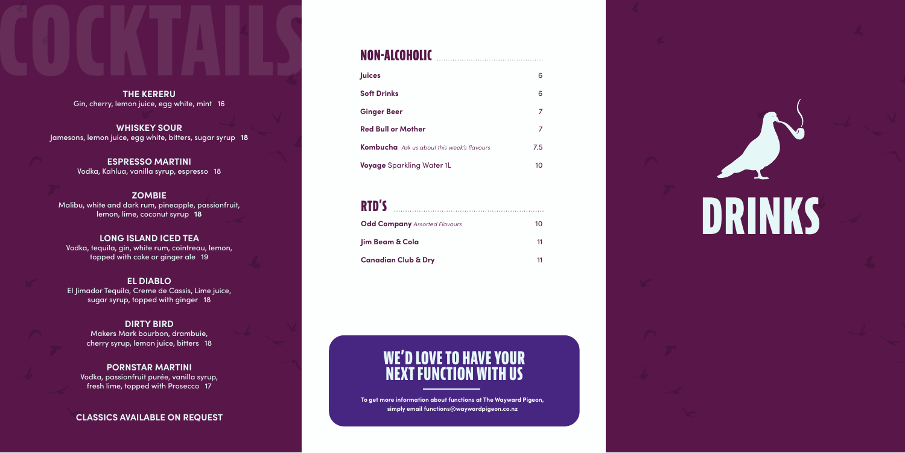

| <b>Odd Company</b> Assorted Flavours | 10 |
|--------------------------------------|----|
| <b>lim Beam &amp; Cola</b>           | 11 |
| <b>Canadian Club &amp; Dry</b>       | 11 |

| <b>Juices</b>                                     | 6.  |
|---------------------------------------------------|-----|
| <b>Soft Drinks</b>                                | 6.  |
| <b>Ginger Beer</b>                                |     |
| <b>Red Bull or Mother</b>                         |     |
| <b>Kombucha</b> Ask us about this week's flavours | 7.5 |
| <b>Voyage</b> Sparkling Water 1L                  | 10  |

**COCKTAINS THE KERERU** Gin, cherry, lemon juice, egg white, mint 16

### **NON-ALCOHOLIC**

**To get more information about functions at The Wayward Pigeon, simply email functions@waywardpigeon.co.nz**

## **WE'D LOVE TO HAVE YOUR NEXT FUNCTION WITH US**

**WHISKEY SOUR** Jamesons, lemon juice, egg white, bitters, sugar syrup **18**

> **ESPRESSO MARTINI** Vodka, Kahlua, vanilla syrup, espresso 18

**ZOMBIE** Malibu, white and dark rum, pineapple, passionfruit, lemon, lime, coconut syrup **18**

**LONG ISLAND ICED TEA** Vodka, tequila, gin, white rum, cointreau, lemon, topped with coke or ginger ale 19

**EL DIABLO** El Jimador Tequila, Creme de Cassis, Lime juice, sugar syrup, topped with ginger 18

### **DIRTY BIRD**

Makers Mark bourbon, drambuie, cherry syrup, lemon juice, bitters 18

### **PORNSTAR MARTINI**

Vodka, passionfruit purée, vanilla syrup, fresh lime, topped with Prosecco 17

**CLASSICS AVAILABLE ON REQUEST**